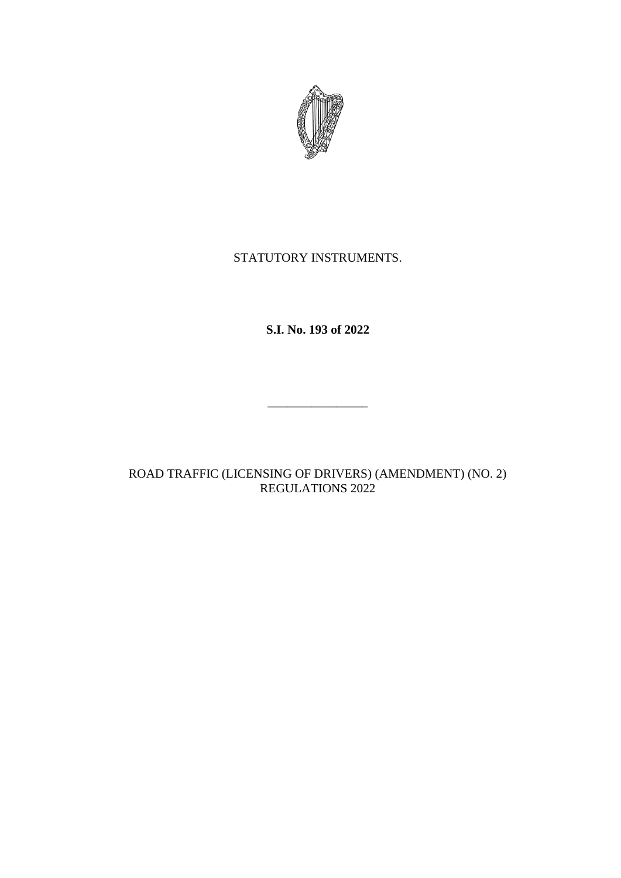

# STATUTORY INSTRUMENTS.

**S.I. No. 193 of 2022**

ROAD TRAFFIC (LICENSING OF DRIVERS) (AMENDMENT) (NO. 2) REGULATIONS 2022

\_\_\_\_\_\_\_\_\_\_\_\_\_\_\_\_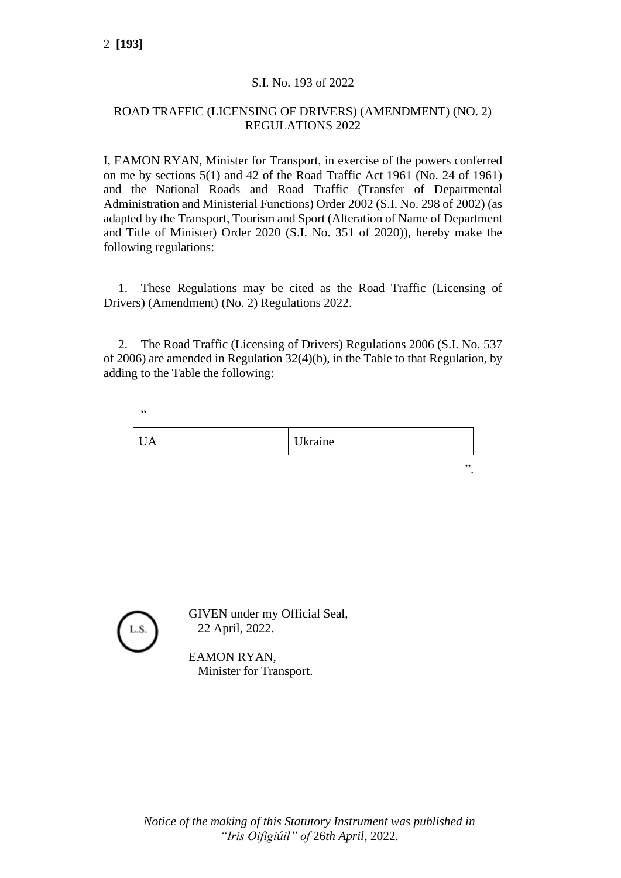### S.I. No. 193 of 2022

#### ROAD TRAFFIC (LICENSING OF DRIVERS) (AMENDMENT) (NO. 2) REGULATIONS 2022

I, EAMON RYAN, Minister for Transport, in exercise of the powers conferred on me by sections 5(1) and 42 of the Road Traffic Act 1961 (No. 24 of 1961) and the National Roads and Road Traffic (Transfer of Departmental Administration and Ministerial Functions) Order 2002 (S.I. No. 298 of 2002) (as adapted by the Transport, Tourism and Sport (Alteration of Name of Department and Title of Minister) Order 2020 (S.I. No. 351 of 2020)), hereby make the following regulations:

1. These Regulations may be cited as the Road Traffic (Licensing of Drivers) (Amendment) (No. 2) Regulations 2022.

2. The Road Traffic (Licensing of Drivers) Regulations 2006 (S.I. No. 537 of 2006) are amended in Regulation 32(4)(b), in the Table to that Regulation, by adding to the Table the following:

| A | Ukraine |    |
|---|---------|----|
|   |         | ,, |

 $\epsilon$ 

GIVEN under my Official Seal, 22 April, 2022.

EAMON RYAN, Minister for Transport.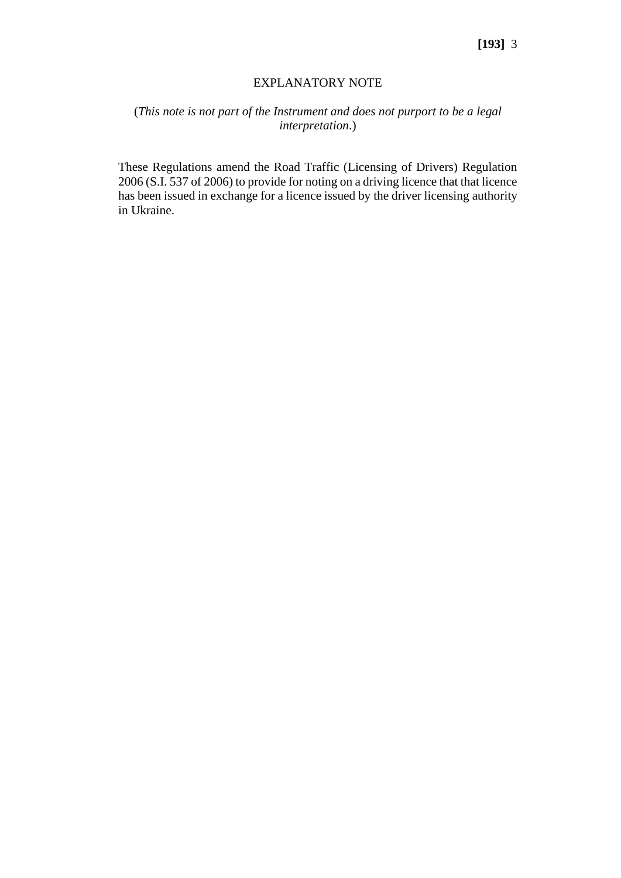#### EXPLANATORY NOTE

## (*This note is not part of the Instrument and does not purport to be a legal interpretation*.)

These Regulations amend the Road Traffic (Licensing of Drivers) Regulation 2006 (S.I. 537 of 2006) to provide for noting on a driving licence that that licence has been issued in exchange for a licence issued by the driver licensing authority in Ukraine.